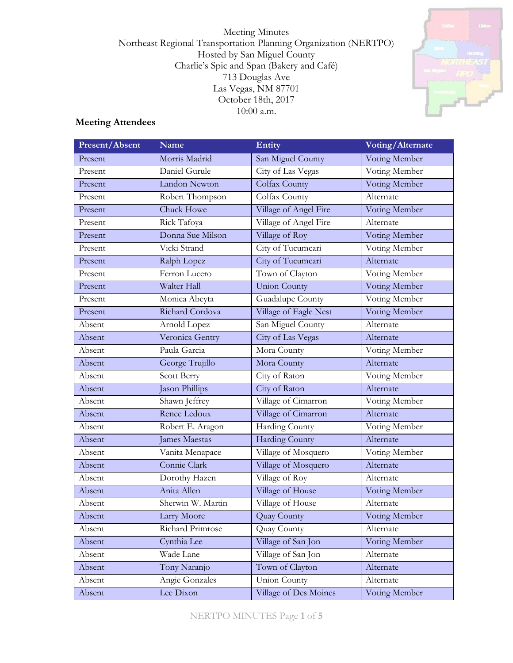Meeting Minutes Northeast Regional Transportation Planning Organization (NERTPO) Hosted by San Miguel County Charlie's Spic and Span (Bakery and Café) 713 Douglas Ave Las Vegas, NM 87701 October 18th, 2017 10:00 a.m.



# **Meeting Attendees**

| Present/Absent | <b>Name</b>          | Entity                | Voting/Alternate |
|----------------|----------------------|-----------------------|------------------|
| Present        | Morris Madrid        | San Miguel County     | Voting Member    |
| Present        | Daniel Gurule        | City of Las Vegas     | Voting Member    |
| Present        | Landon Newton        | Colfax County         | Voting Member    |
| Present        | Robert Thompson      | Colfax County         | Alternate        |
| Present        | Chuck Howe           | Village of Angel Fire | Voting Member    |
| Present        | Rick Tafoya          | Village of Angel Fire | Alternate        |
| Present        | Donna Sue Milson     | Village of Roy        | Voting Member    |
| Present        | Vicki Strand         | City of Tucumcari     | Voting Member    |
| Present        | Ralph Lopez          | City of Tucumcari     | Alternate        |
| Present        | Ferron Lucero        | Town of Clayton       | Voting Member    |
| Present        | Walter Hall          | <b>Union County</b>   | Voting Member    |
| Present        | Monica Abeyta        | Guadalupe County      | Voting Member    |
| Present        | Richard Cordova      | Village of Eagle Nest | Voting Member    |
| Absent         | Arnold Lopez         | San Miguel County     | Alternate        |
| Absent         | Veronica Gentry      | City of Las Vegas     | Alternate        |
| Absent         | Paula Garcia         | Mora County           | Voting Member    |
| Absent         | George Trujillo      | Mora County           | Alternate        |
| Absent         | Scott Berry          | City of Raton         | Voting Member    |
| Absent         | Jason Phillips       | City of Raton         | Alternate        |
| Absent         | Shawn Jeffrey        | Village of Cimarron   | Voting Member    |
| Absent         | Renee Ledoux         | Village of Cimarron   | Alternate        |
| Absent         | Robert E. Aragon     | Harding County        | Voting Member    |
| Absent         | <b>James Maestas</b> | <b>Harding County</b> | Alternate        |
| Absent         | Vanita Menapace      | Village of Mosquero   | Voting Member    |
| Absent         | Connie Clark         | Village of Mosquero   | Alternate        |
| Absent         | Dorothy Hazen        | Village of Roy        | Alternate        |
| Absent         | Anita Allen          | Village of House      | Voting Member    |
| Absent         | Sherwin W. Martin    | Village of House      | Alternate        |
| Absent         | Larry Moore          | Quay County           | Voting Member    |
| Absent         | Richard Primrose     | Quay County           | Alternate        |
| Absent         | Cynthia Lee          | Village of San Jon    | Voting Member    |
| Absent         | Wade Lane            | Village of San Jon    | Alternate        |
| Absent         | Tony Naranjo         | Town of Clayton       | Alternate        |
| Absent         | Angie Gonzales       | <b>Union County</b>   | Alternate        |
| Absent         | Lee Dixon            | Village of Des Moines | Voting Member    |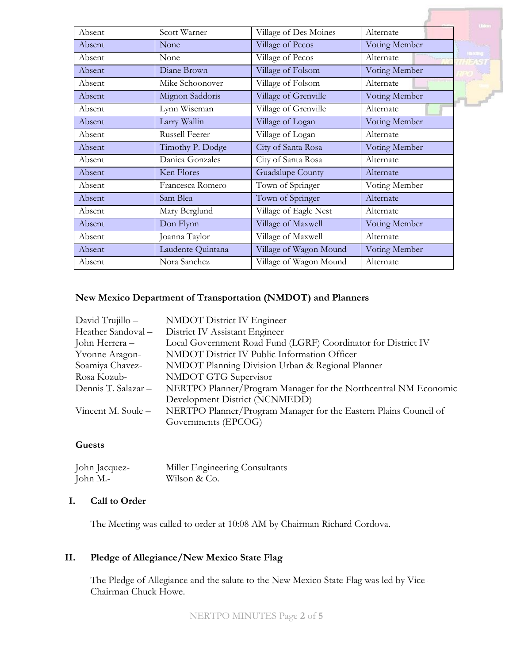| Absent | Scott Warner      | Village of Des Moines  | Alternate     |
|--------|-------------------|------------------------|---------------|
| Absent | None              | Village of Pecos       | Voting Member |
| Absent | None              | Village of Pecos       | Alternate     |
| Absent | Diane Brown       | Village of Folsom      | Voting Member |
| Absent | Mike Schoonover   | Village of Folsom      | Alternate     |
| Absent | Mignon Saddoris   | Village of Grenville   | Voting Member |
| Absent | Lynn Wiseman      | Village of Grenville   | Alternate     |
| Absent | Larry Wallin      | Village of Logan       | Voting Member |
| Absent | Russell Feerer    | Village of Logan       | Alternate     |
| Absent | Timothy P. Dodge  | City of Santa Rosa     | Voting Member |
| Absent | Danica Gonzales   | City of Santa Rosa     | Alternate     |
| Absent | Ken Flores        | Guadalupe County       | Alternate     |
| Absent | Francesca Romero  | Town of Springer       | Voting Member |
| Absent | Sam Blea          | Town of Springer       | Alternate     |
| Absent | Mary Berglund     | Village of Eagle Nest  | Alternate     |
| Absent | Don Flynn         | Village of Maxwell     | Voting Member |
| Absent | Joanna Taylor     | Village of Maxwell     | Alternate     |
| Absent | Laudente Quintana | Village of Wagon Mound | Voting Member |
| Absent | Nora Sanchez      | Village of Wagon Mound | Alternate     |

# **New Mexico Department of Transportation (NMDOT) and Planners**

| David Trujillo -    | <b>NMDOT</b> District IV Engineer                                |
|---------------------|------------------------------------------------------------------|
| Heather Sandoval -  | District IV Assistant Engineer                                   |
| John Herrera –      | Local Government Road Fund (LGRF) Coordinator for District IV    |
| Yvonne Aragon-      | NMDOT District IV Public Information Officer                     |
| Soamiya Chavez-     | NMDOT Planning Division Urban & Regional Planner                 |
| Rosa Kozub-         | NMDOT GTG Supervisor                                             |
| Dennis T. Salazar - | NERTPO Planner/Program Manager for the Northcentral NM Economic  |
|                     | Development District (NCNMEDD)                                   |
| Vincent M. Soule -  | NERTPO Planner/Program Manager for the Eastern Plains Council of |
|                     | Governments (EPCOG)                                              |

# **Guests**

| John Jacquez- | Miller Engineering Consultants |
|---------------|--------------------------------|
| John M.-      | Wilson & Co.                   |

## **I. Call to Order**

The Meeting was called to order at 10:08 AM by Chairman Richard Cordova.

# **II. Pledge of Allegiance/New Mexico State Flag**

The Pledge of Allegiance and the salute to the New Mexico State Flag was led by Vice-Chairman Chuck Howe.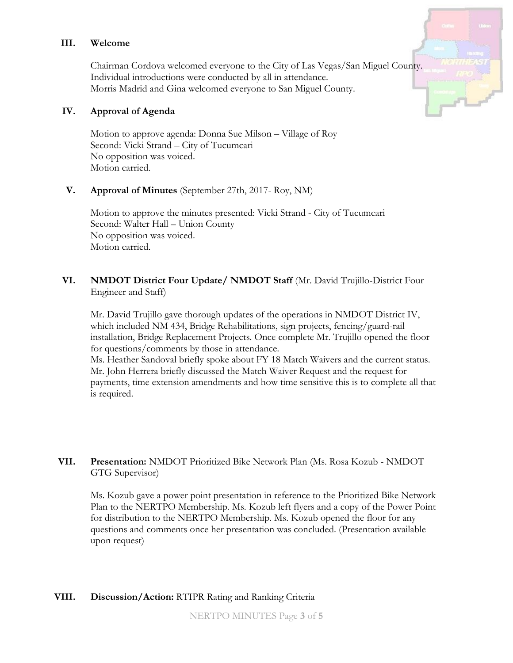#### **III. Welcome**

Chairman Cordova welcomed everyone to the City of Las Vegas/San Miguel County. Individual introductions were conducted by all in attendance. Morris Madrid and Gina welcomed everyone to San Miguel County.

#### **IV. Approval of Agenda**

Motion to approve agenda: Donna Sue Milson – Village of Roy Second: Vicki Strand – City of Tucumcari No opposition was voiced. Motion carried.

# **V. Approval of Minutes** (September 27th, 2017- Roy, NM)

Motion to approve the minutes presented: Vicki Strand - City of Tucumcari Second: Walter Hall – Union County No opposition was voiced. Motion carried.

# **VI. NMDOT District Four Update/ NMDOT Staff** (Mr. David Trujillo-District Four Engineer and Staff)

Mr. David Trujillo gave thorough updates of the operations in NMDOT District IV, which included NM 434, Bridge Rehabilitations, sign projects, fencing/guard-rail installation, Bridge Replacement Projects. Once complete Mr. Trujillo opened the floor for questions/comments by those in attendance.

Ms. Heather Sandoval briefly spoke about FY 18 Match Waivers and the current status. Mr. John Herrera briefly discussed the Match Waiver Request and the request for payments, time extension amendments and how time sensitive this is to complete all that is required.

# **VII. Presentation:** NMDOT Prioritized Bike Network Plan (Ms. Rosa Kozub - NMDOT GTG Supervisor)

Ms. Kozub gave a power point presentation in reference to the Prioritized Bike Network Plan to the NERTPO Membership. Ms. Kozub left flyers and a copy of the Power Point for distribution to the NERTPO Membership. Ms. Kozub opened the floor for any questions and comments once her presentation was concluded. (Presentation available upon request)

# **VIII. Discussion/Action:** RTIPR Rating and Ranking Criteria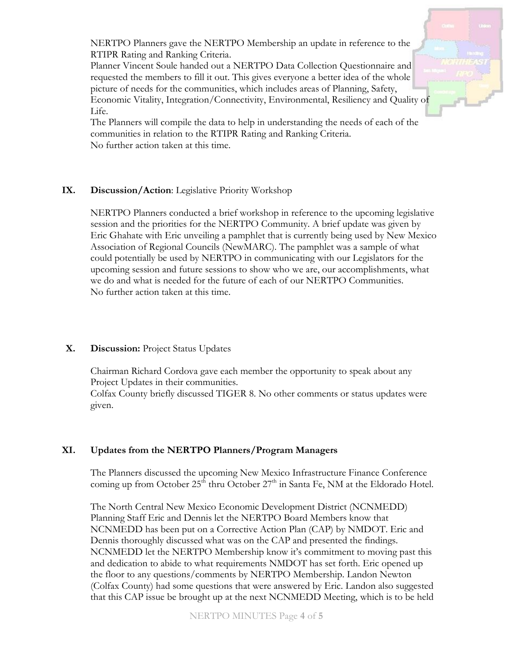NERTPO Planners gave the NERTPO Membership an update in reference to the RTIPR Rating and Ranking Criteria.

Planner Vincent Soule handed out a NERTPO Data Collection Questionnaire and requested the members to fill it out. This gives everyone a better idea of the whole picture of needs for the communities, which includes areas of Planning, Safety, Economic Vitality, Integration/Connectivity, Environmental, Resiliency and Quality of Life.



# **IX. Discussion/Action**: Legislative Priority Workshop

NERTPO Planners conducted a brief workshop in reference to the upcoming legislative session and the priorities for the NERTPO Community. A brief update was given by Eric Ghahate with Eric unveiling a pamphlet that is currently being used by New Mexico Association of Regional Councils (NewMARC). The pamphlet was a sample of what could potentially be used by NERTPO in communicating with our Legislators for the upcoming session and future sessions to show who we are, our accomplishments, what we do and what is needed for the future of each of our NERTPO Communities. No further action taken at this time.

# **X. Discussion:** Project Status Updates

Chairman Richard Cordova gave each member the opportunity to speak about any Project Updates in their communities.

Colfax County briefly discussed TIGER 8. No other comments or status updates were given.

# **XI. Updates from the NERTPO Planners/Program Managers**

The Planners discussed the upcoming New Mexico Infrastructure Finance Conference coming up from October  $25<sup>th</sup>$  thru October  $27<sup>th</sup>$  in Santa Fe, NM at the Eldorado Hotel.

The North Central New Mexico Economic Development District (NCNMEDD) Planning Staff Eric and Dennis let the NERTPO Board Members know that NCNMEDD has been put on a Corrective Action Plan (CAP) by NMDOT. Eric and Dennis thoroughly discussed what was on the CAP and presented the findings. NCNMEDD let the NERTPO Membership know it's commitment to moving past this and dedication to abide to what requirements NMDOT has set forth. Eric opened up the floor to any questions/comments by NERTPO Membership. Landon Newton (Colfax County) had some questions that were answered by Eric. Landon also suggested that this CAP issue be brought up at the next NCNMEDD Meeting, which is to be held